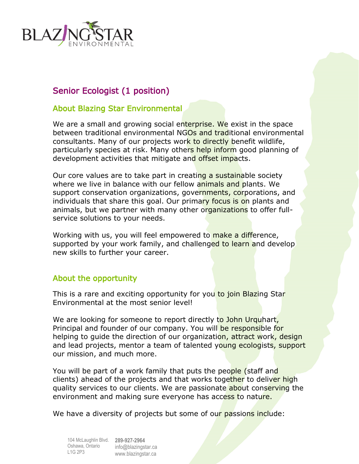

# Senior Ecologist (1 position)

#### About Blazing Star Environmental

We are a small and growing social enterprise. We exist in the space between traditional environmental NGOs and traditional environmental consultants. Many of our projects work to directly benefit wildlife, particularly species at risk. Many others help inform good planning of development activities that mitigate and offset impacts.

Our core values are to take part in creating a sustainable society where we live in balance with our fellow animals and plants. We support conservation organizations, governments, corporations, and individuals that share this goal. Our primary focus is on plants and animals, but we partner with many other organizations to offer fullservice solutions to your needs.

Working with us, you will feel empowered to make a difference, supported by your work family, and challenged to learn and develop new skills to further your career.

### About the opportunity

This is a rare and exciting opportunity for you to join Blazing Star Environmental at the most senior level!

We are looking for someone to report directly to John Urquhart, Principal and founder of our company. You will be responsible for helping to guide the direction of our organization, attract work, design and lead projects, mentor a team of talented young ecologists, support our mission, and much more.

You will be part of a work family that puts the people (staff and clients) ahead of the projects and that works together to deliver high quality services to our clients. We are passionate about conserving the environment and making sure everyone has access to nature.

We have a diversity of projects but some of our passions include:

104 McLaughlin Blvd. **289-927-2964** Oshawa, Ontario info@blazingstar.ca L1G 2P3 www.blazingstar.ca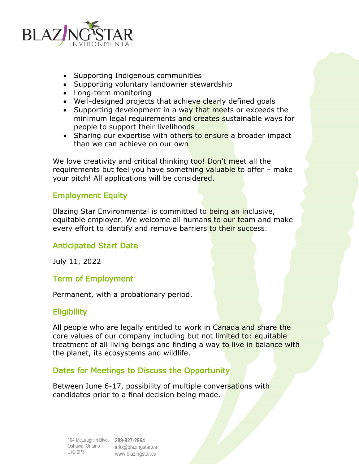

- Supporting Indigenous communities
- Supporting voluntary landowner stewardship
- Long-term monitoring
- Well-designed projects that achieve clearly defined goals
- Supporting development in a way that meets or exceeds the minimum legal requirements and creates sustainable ways for people to support their livelihoods
- Sharing our expertise with others to ensure a broader impact than we can achieve on our own

We love creativity and critical thinking too! Don't meet all the requirements but feel you have something valuable to offer – make your pitch! All applications will be considered.

## Employment Equity

Blazing Star Environmental is committed to being an inclusive, equitable employer. We welcome all humans to our team and make every effort to identify and remove barriers to their success.

# Anticipated Start Date

July 11, 2022

### Term of Employment

Permanent, with a probationary period.

### **Eligibility**

All people who are legally entitled to work in Canada and share the core values of our company including but not limited to: equitable treatment of all living beings and finding a way to live in balance with the planet, its ecosystems and wildlife.

### Dates for Meetings to Discuss the Opportunity

Between June 6-17, possibility of multiple conversations with candidates prior to a final decision being made.

104 McLaughlin Blvd. **289-927-2964** Oshawa, Ontario info@blazingstar.ca L1G 2P3 www.blazingstar.ca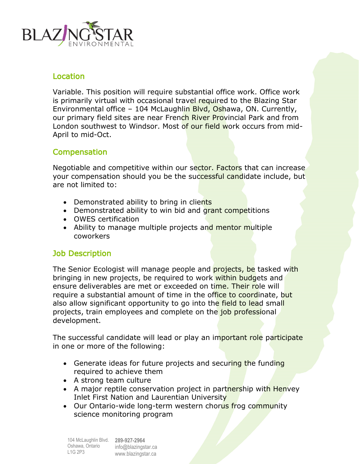

### **Location**

Variable. This position will require substantial office work. Office work is primarily virtual with occasional travel required to the Blazing Star Environmental office - 104 McLaughlin Blyd, Oshawa, ON. Currently, our primary field sites are near French River Provincial Park and from London southwest to Windsor. Most of our field work occurs from mid-April to mid-Oct.

## **Compensation**

Negotiable and competitive within our sector. Factors that can increase your compensation should you be the successful candidate include, but are not limited to:

- Demonstrated ability to bring in clients
- Demonstrated ability to win bid and grant competitions
- OWES certification
- Ability to manage multiple projects and mentor multiple coworkers

### Job Description

The Senior Ecologist will manage people and **projects, be** tasked with bringing in new projects, be required to work within budgets and ensure deliverables are met or exceeded on time. Their role will require a substantial amount of time in the office to coordinate, but also allow significant opportunity to go into the field to lead small projects, train employees and complete on the job professional development.

The successful candidate will lead or play an important role participate in one or more of the following:

- Generate ideas for future projects and securing the funding required to achieve them
- A strong team culture
- A major reptile conservation project in partnership with Henvey Inlet First Nation and Laurentian University
- Our Ontario-wide long-term western chorus frog community science monitoring program

104 McLaughlin Blvd. **289-927-2964** Oshawa, Ontario L1G 2P3 info@blazingstar.ca www.blazingstar.ca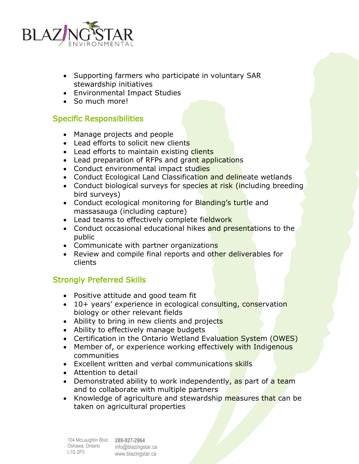

- Supporting farmers who participate in voluntary SAR stewardship initiatives
- Environmental Impact Studies
- So much more!

## Specific Responsibilities

- Manage projects and people
- Lead efforts to solicit new clients
- Lead efforts to maintain existing clients
- Lead preparation of RFPs and grant applications
- Conduct environmental impact studies
- Conduct Ecological Land Classification and delineate wetlands
- Conduct biological surveys for species at risk (including breeding bird surveys)
- Conduct ecological monitoring for Blanding's turtle and massasauga (including capture)
- Lead teams to effectively complete fieldwork
- Conduct occasional educational hikes and presentations to the public
- Communicate with partner organizations
- Review and compile final reports and other deliverables for clients

# Strongly Preferred Skills

- Positive attitude and good team fit
- 10+ years' experience in ecological consulting, conservation biology or other relevant fields
- Ability to bring in new clients and projects
- Ability to effectively manage budgets
- Certification in the Ontario Wetland Evaluation System (OWES)
- Member of, or experience working effectively with Indigenous communities
- Excellent written and verbal communications skills
- Attention to detail
- Demonstrated ability to work independently, as part of a team and to collaborate with multiple partners
- Knowledge of agriculture and stewardship **measures** that can be taken on agricultural properties

104 McLaughlin Blvd. **289-927-2964** Oshawa, Ontario info@blazingstar.ca L1G 2P3

www.blazingstar.ca